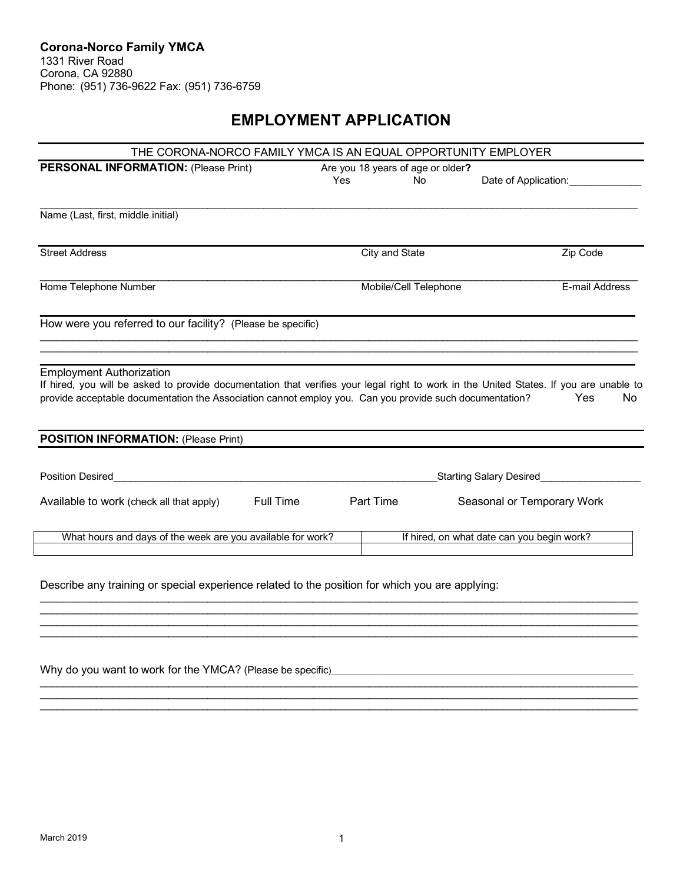# **EMPLOYMENT APPLICATION**

| PERSONAL INFORMATION: (Please Print)                                                                                                                                      |                                   | THE CORONA-NORCO FAMILY YMCA IS AN EQUAL OPPORTUNITY EMPLOYER |                            |  |
|---------------------------------------------------------------------------------------------------------------------------------------------------------------------------|-----------------------------------|---------------------------------------------------------------|----------------------------|--|
|                                                                                                                                                                           | Are you 18 years of age or older? |                                                               |                            |  |
|                                                                                                                                                                           | Yes                               | No.                                                           | Date of Application:       |  |
| Name (Last, first, middle initial)                                                                                                                                        |                                   |                                                               |                            |  |
| <b>Street Address</b>                                                                                                                                                     | City and State                    |                                                               | Zip Code                   |  |
|                                                                                                                                                                           |                                   |                                                               |                            |  |
| Home Telephone Number                                                                                                                                                     | Mobile/Cell Telephone             |                                                               | E-mail Address             |  |
| How were you referred to our facility? (Please be specific)                                                                                                               |                                   |                                                               |                            |  |
| <b>Employment Authorization</b><br>If hired, you will be asked to provide documentation that verifies your legal right to work in the United States. If you are unable to |                                   |                                                               |                            |  |
| provide acceptable documentation the Association cannot employ you. Can you provide such documentation?                                                                   |                                   |                                                               | No<br>Yes                  |  |
|                                                                                                                                                                           |                                   |                                                               |                            |  |
| <b>POSITION INFORMATION: (Please Print)</b>                                                                                                                               |                                   |                                                               |                            |  |
| Position Desired                                                                                                                                                          |                                   | <b>Starting Salary Desired</b>                                |                            |  |
| <b>Full Time</b>                                                                                                                                                          | Part Time                         |                                                               |                            |  |
| Available to work (check all that apply)                                                                                                                                  |                                   |                                                               | Seasonal or Temporary Work |  |
| What hours and days of the week are you available for work?                                                                                                               |                                   | If hired, on what date can you begin work?                    |                            |  |
|                                                                                                                                                                           |                                   |                                                               |                            |  |
|                                                                                                                                                                           |                                   |                                                               |                            |  |
| Describe any training or special experience related to the position for which you are applying:                                                                           |                                   |                                                               |                            |  |
|                                                                                                                                                                           |                                   |                                                               |                            |  |

 $\mathcal{L}_\mathcal{L} = \{ \mathcal{L}_\mathcal{L} = \{ \mathcal{L}_\mathcal{L} = \{ \mathcal{L}_\mathcal{L} = \{ \mathcal{L}_\mathcal{L} = \{ \mathcal{L}_\mathcal{L} = \{ \mathcal{L}_\mathcal{L} = \{ \mathcal{L}_\mathcal{L} = \{ \mathcal{L}_\mathcal{L} = \{ \mathcal{L}_\mathcal{L} = \{ \mathcal{L}_\mathcal{L} = \{ \mathcal{L}_\mathcal{L} = \{ \mathcal{L}_\mathcal{L} = \{ \mathcal{L}_\mathcal{L} = \{ \mathcal{L}_\mathcal{$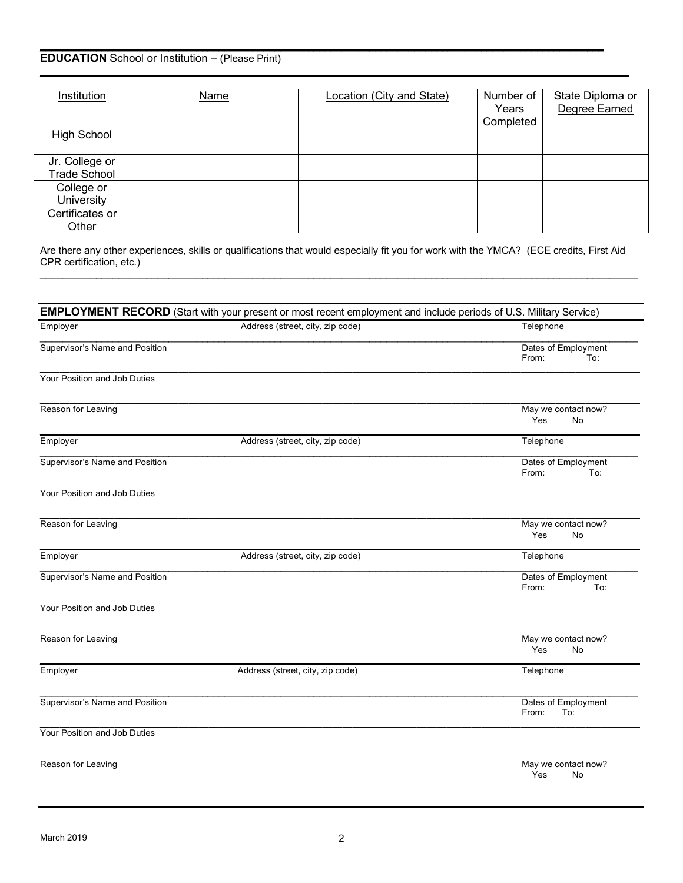## **EDUCATION** School or Institution – (Please Print)

| Institution                           | <b>Name</b> | <b>Location (City and State)</b> | Number of<br>Years<br>Completed | State Diploma or<br>Degree Earned |
|---------------------------------------|-------------|----------------------------------|---------------------------------|-----------------------------------|
| High School                           |             |                                  |                                 |                                   |
| Jr. College or<br><b>Trade School</b> |             |                                  |                                 |                                   |
| College or<br>University              |             |                                  |                                 |                                   |
| Certificates or<br>Other              |             |                                  |                                 |                                   |

 $\mathcal{L}_\mathcal{L} = \mathcal{L}_\mathcal{L} = \mathcal{L}_\mathcal{L} = \mathcal{L}_\mathcal{L} = \mathcal{L}_\mathcal{L} = \mathcal{L}_\mathcal{L} = \mathcal{L}_\mathcal{L} = \mathcal{L}_\mathcal{L} = \mathcal{L}_\mathcal{L} = \mathcal{L}_\mathcal{L} = \mathcal{L}_\mathcal{L} = \mathcal{L}_\mathcal{L} = \mathcal{L}_\mathcal{L} = \mathcal{L}_\mathcal{L} = \mathcal{L}_\mathcal{L} = \mathcal{L}_\mathcal{L} = \mathcal{L}_\mathcal{L}$ 

\_\_\_\_\_\_\_\_\_\_\_\_\_\_\_\_\_\_\_\_\_\_\_\_\_\_\_\_\_\_\_\_\_\_\_\_\_\_\_\_\_\_\_\_\_\_\_\_\_\_\_\_\_\_\_\_\_\_\_\_\_\_\_\_\_\_\_\_\_\_\_\_\_\_\_\_\_\_\_\_\_\_\_\_\_\_\_\_\_\_\_\_\_\_\_

Are there any other experiences, skills or qualifications that would especially fit you for work with the YMCA? (ECE credits, First Aid CPR certification, etc.)  $\mathcal{L}_\mathcal{L} = \{ \mathcal{L}_\mathcal{L} = \{ \mathcal{L}_\mathcal{L} = \{ \mathcal{L}_\mathcal{L} = \{ \mathcal{L}_\mathcal{L} = \{ \mathcal{L}_\mathcal{L} = \{ \mathcal{L}_\mathcal{L} = \{ \mathcal{L}_\mathcal{L} = \{ \mathcal{L}_\mathcal{L} = \{ \mathcal{L}_\mathcal{L} = \{ \mathcal{L}_\mathcal{L} = \{ \mathcal{L}_\mathcal{L} = \{ \mathcal{L}_\mathcal{L} = \{ \mathcal{L}_\mathcal{L} = \{ \mathcal{L}_\mathcal{$ 

| <b>EMPLOYMENT RECORD</b> (Start with your present or most recent employment and include periods of U.S. Military Service) |                                  |                                         |  |  |
|---------------------------------------------------------------------------------------------------------------------------|----------------------------------|-----------------------------------------|--|--|
| Employer                                                                                                                  | Address (street, city, zip code) | Telephone                               |  |  |
| Supervisor's Name and Position                                                                                            |                                  | Dates of Employment<br>To:<br>From:     |  |  |
| Your Position and Job Duties                                                                                              |                                  |                                         |  |  |
| Reason for Leaving                                                                                                        |                                  | May we contact now?<br>Yes<br>No        |  |  |
| Employer                                                                                                                  | Address (street, city, zip code) | Telephone                               |  |  |
| Supervisor's Name and Position                                                                                            |                                  | Dates of Employment<br>From:<br>To:     |  |  |
| Your Position and Job Duties                                                                                              |                                  |                                         |  |  |
| Reason for Leaving                                                                                                        |                                  | May we contact now?<br>Yes<br><b>No</b> |  |  |
| Employer                                                                                                                  | Address (street, city, zip code) | Telephone                               |  |  |
| Supervisor's Name and Position                                                                                            |                                  | Dates of Employment<br>From:<br>To:     |  |  |
| Your Position and Job Duties                                                                                              |                                  |                                         |  |  |
| Reason for Leaving                                                                                                        |                                  | May we contact now?<br>Yes<br>No        |  |  |
| Employer                                                                                                                  | Address (street, city, zip code) | Telephone                               |  |  |
| Supervisor's Name and Position                                                                                            |                                  | Dates of Employment<br>From:<br>To:     |  |  |
| Your Position and Job Duties                                                                                              |                                  |                                         |  |  |
| Reason for Leaving                                                                                                        |                                  | May we contact now?<br>Yes<br>No        |  |  |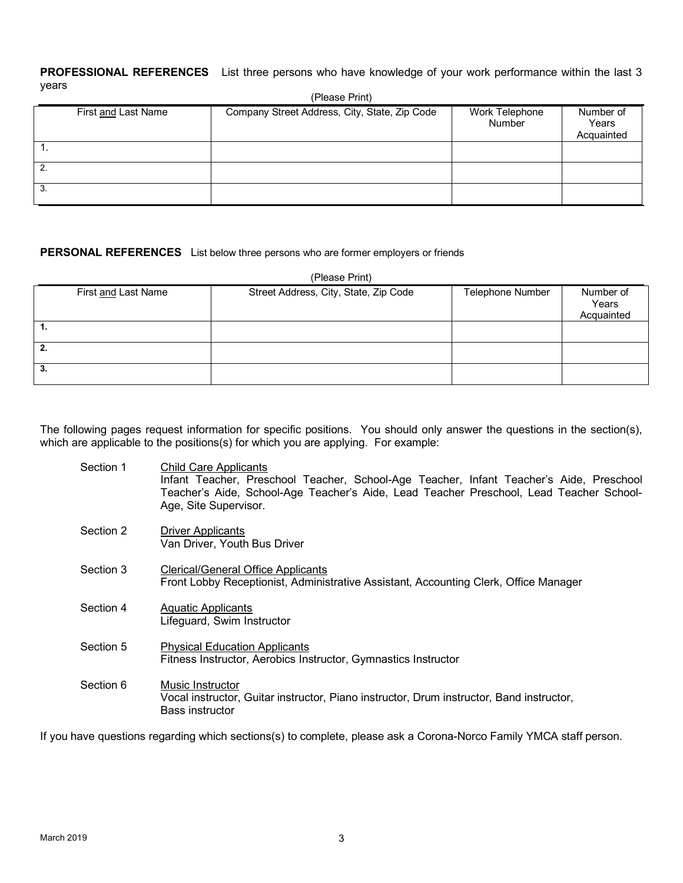**PROFESSIONAL REFERENCES** List three persons who have knowledge of your work performance within the last 3 years (Please Print)

| First and Last Name | (Please Print)<br>Company Street Address, City, State, Zip Code | Work Telephone<br>Number | Number of<br>Years<br>Acquainted |
|---------------------|-----------------------------------------------------------------|--------------------------|----------------------------------|
|                     |                                                                 |                          |                                  |
|                     |                                                                 |                          |                                  |
| 3.                  |                                                                 |                          |                                  |

**PERSONAL REFERENCES** List below three persons who are former employers or friends

| (Please Print) |                     |                                       |                  |                                  |  |  |
|----------------|---------------------|---------------------------------------|------------------|----------------------------------|--|--|
|                | First and Last Name | Street Address, City, State, Zip Code | Telephone Number | Number of<br>Years<br>Acquainted |  |  |
|                |                     |                                       |                  |                                  |  |  |
| 2.             |                     |                                       |                  |                                  |  |  |
| 3.             |                     |                                       |                  |                                  |  |  |

The following pages request information for specific positions. You should only answer the questions in the section(s), which are applicable to the positions(s) for which you are applying. For example:

| Section 1 | <b>Child Care Applicants</b><br>Infant Teacher, Preschool Teacher, School-Age Teacher, Infant Teacher's Aide, Preschool<br>Teacher's Aide, School-Age Teacher's Aide, Lead Teacher Preschool, Lead Teacher School-<br>Age, Site Supervisor. |
|-----------|---------------------------------------------------------------------------------------------------------------------------------------------------------------------------------------------------------------------------------------------|
| Section 2 | <b>Driver Applicants</b><br>Van Driver, Youth Bus Driver                                                                                                                                                                                    |
| Section 3 | Clerical/General Office Applicants<br>Front Lobby Receptionist, Administrative Assistant, Accounting Clerk, Office Manager                                                                                                                  |
| Section 4 | Aquatic Applicants<br>Lifeguard, Swim Instructor                                                                                                                                                                                            |
| Section 5 | <b>Physical Education Applicants</b><br>Fitness Instructor, Aerobics Instructor, Gymnastics Instructor                                                                                                                                      |
| Section 6 | Music Instructor<br>Vocal instructor, Guitar instructor, Piano instructor, Drum instructor, Band instructor,<br>Bass instructor                                                                                                             |

If you have questions regarding which sections(s) to complete, please ask a Corona-Norco Family YMCA staff person.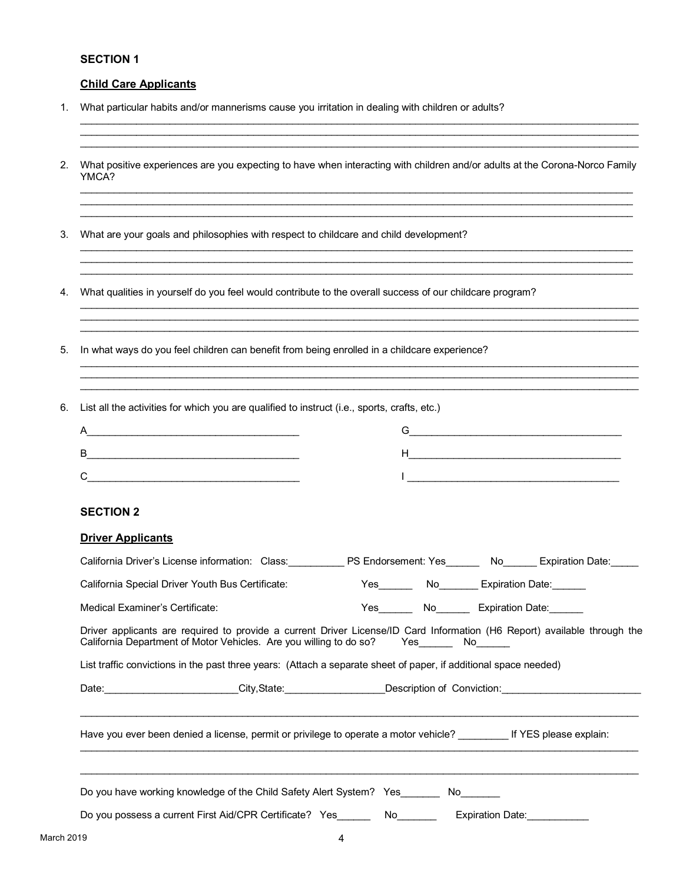#### **SECTION 1**

#### **Child Care Applicants**

1. What particular habits and/or mannerisms cause you irritation in dealing with children or adults?

 $\mathcal{L}_\mathcal{L} = \{ \mathcal{L}_\mathcal{L} = \{ \mathcal{L}_\mathcal{L} = \{ \mathcal{L}_\mathcal{L} = \{ \mathcal{L}_\mathcal{L} = \{ \mathcal{L}_\mathcal{L} = \{ \mathcal{L}_\mathcal{L} = \{ \mathcal{L}_\mathcal{L} = \{ \mathcal{L}_\mathcal{L} = \{ \mathcal{L}_\mathcal{L} = \{ \mathcal{L}_\mathcal{L} = \{ \mathcal{L}_\mathcal{L} = \{ \mathcal{L}_\mathcal{L} = \{ \mathcal{L}_\mathcal{L} = \{ \mathcal{L}_\mathcal{$  $\mathcal{L}_\mathcal{L} = \{ \mathcal{L}_\mathcal{L} = \{ \mathcal{L}_\mathcal{L} = \{ \mathcal{L}_\mathcal{L} = \{ \mathcal{L}_\mathcal{L} = \{ \mathcal{L}_\mathcal{L} = \{ \mathcal{L}_\mathcal{L} = \{ \mathcal{L}_\mathcal{L} = \{ \mathcal{L}_\mathcal{L} = \{ \mathcal{L}_\mathcal{L} = \{ \mathcal{L}_\mathcal{L} = \{ \mathcal{L}_\mathcal{L} = \{ \mathcal{L}_\mathcal{L} = \{ \mathcal{L}_\mathcal{L} = \{ \mathcal{L}_\mathcal{$ 

 $\mathcal{L}_\mathcal{L} = \{ \mathcal{L}_\mathcal{L} = \{ \mathcal{L}_\mathcal{L} = \{ \mathcal{L}_\mathcal{L} = \{ \mathcal{L}_\mathcal{L} = \{ \mathcal{L}_\mathcal{L} = \{ \mathcal{L}_\mathcal{L} = \{ \mathcal{L}_\mathcal{L} = \{ \mathcal{L}_\mathcal{L} = \{ \mathcal{L}_\mathcal{L} = \{ \mathcal{L}_\mathcal{L} = \{ \mathcal{L}_\mathcal{L} = \{ \mathcal{L}_\mathcal{L} = \{ \mathcal{L}_\mathcal{L} = \{ \mathcal{L}_\mathcal{$ 2. What positive experiences are you expecting to have when interacting with children and/or adults at the Corona-Norco Family YMCA?  $\mathcal{L}_\mathcal{L} = \{ \mathcal{L}_\mathcal{L} = \{ \mathcal{L}_\mathcal{L} = \{ \mathcal{L}_\mathcal{L} = \{ \mathcal{L}_\mathcal{L} = \{ \mathcal{L}_\mathcal{L} = \{ \mathcal{L}_\mathcal{L} = \{ \mathcal{L}_\mathcal{L} = \{ \mathcal{L}_\mathcal{L} = \{ \mathcal{L}_\mathcal{L} = \{ \mathcal{L}_\mathcal{L} = \{ \mathcal{L}_\mathcal{L} = \{ \mathcal{L}_\mathcal{L} = \{ \mathcal{L}_\mathcal{L} = \{ \mathcal{L}_\mathcal{$  $\mathcal{L}_\mathcal{L} = \{ \mathcal{L}_\mathcal{L} = \{ \mathcal{L}_\mathcal{L} = \{ \mathcal{L}_\mathcal{L} = \{ \mathcal{L}_\mathcal{L} = \{ \mathcal{L}_\mathcal{L} = \{ \mathcal{L}_\mathcal{L} = \{ \mathcal{L}_\mathcal{L} = \{ \mathcal{L}_\mathcal{L} = \{ \mathcal{L}_\mathcal{L} = \{ \mathcal{L}_\mathcal{L} = \{ \mathcal{L}_\mathcal{L} = \{ \mathcal{L}_\mathcal{L} = \{ \mathcal{L}_\mathcal{L} = \{ \mathcal{L}_\mathcal{$  $\mathcal{L}_\mathcal{L} = \{ \mathcal{L}_\mathcal{L} = \{ \mathcal{L}_\mathcal{L} = \{ \mathcal{L}_\mathcal{L} = \{ \mathcal{L}_\mathcal{L} = \{ \mathcal{L}_\mathcal{L} = \{ \mathcal{L}_\mathcal{L} = \{ \mathcal{L}_\mathcal{L} = \{ \mathcal{L}_\mathcal{L} = \{ \mathcal{L}_\mathcal{L} = \{ \mathcal{L}_\mathcal{L} = \{ \mathcal{L}_\mathcal{L} = \{ \mathcal{L}_\mathcal{L} = \{ \mathcal{L}_\mathcal{L} = \{ \mathcal{L}_\mathcal{$ 3. What are your goals and philosophies with respect to childcare and child development?  $\mathcal{L}_\mathcal{L} = \{ \mathcal{L}_\mathcal{L} = \{ \mathcal{L}_\mathcal{L} = \{ \mathcal{L}_\mathcal{L} = \{ \mathcal{L}_\mathcal{L} = \{ \mathcal{L}_\mathcal{L} = \{ \mathcal{L}_\mathcal{L} = \{ \mathcal{L}_\mathcal{L} = \{ \mathcal{L}_\mathcal{L} = \{ \mathcal{L}_\mathcal{L} = \{ \mathcal{L}_\mathcal{L} = \{ \mathcal{L}_\mathcal{L} = \{ \mathcal{L}_\mathcal{L} = \{ \mathcal{L}_\mathcal{L} = \{ \mathcal{L}_\mathcal{$  $\mathcal{L}_\mathcal{L} = \{ \mathcal{L}_\mathcal{L} = \{ \mathcal{L}_\mathcal{L} = \{ \mathcal{L}_\mathcal{L} = \{ \mathcal{L}_\mathcal{L} = \{ \mathcal{L}_\mathcal{L} = \{ \mathcal{L}_\mathcal{L} = \{ \mathcal{L}_\mathcal{L} = \{ \mathcal{L}_\mathcal{L} = \{ \mathcal{L}_\mathcal{L} = \{ \mathcal{L}_\mathcal{L} = \{ \mathcal{L}_\mathcal{L} = \{ \mathcal{L}_\mathcal{L} = \{ \mathcal{L}_\mathcal{L} = \{ \mathcal{L}_\mathcal{$  $\mathcal{L}_\mathcal{L} = \{ \mathcal{L}_\mathcal{L} = \{ \mathcal{L}_\mathcal{L} = \{ \mathcal{L}_\mathcal{L} = \{ \mathcal{L}_\mathcal{L} = \{ \mathcal{L}_\mathcal{L} = \{ \mathcal{L}_\mathcal{L} = \{ \mathcal{L}_\mathcal{L} = \{ \mathcal{L}_\mathcal{L} = \{ \mathcal{L}_\mathcal{L} = \{ \mathcal{L}_\mathcal{L} = \{ \mathcal{L}_\mathcal{L} = \{ \mathcal{L}_\mathcal{L} = \{ \mathcal{L}_\mathcal{L} = \{ \mathcal{L}_\mathcal{$ 4. What qualities in yourself do you feel would contribute to the overall success of our childcare program?  $\mathcal{L}_\mathcal{L} = \{ \mathcal{L}_\mathcal{L} = \{ \mathcal{L}_\mathcal{L} = \{ \mathcal{L}_\mathcal{L} = \{ \mathcal{L}_\mathcal{L} = \{ \mathcal{L}_\mathcal{L} = \{ \mathcal{L}_\mathcal{L} = \{ \mathcal{L}_\mathcal{L} = \{ \mathcal{L}_\mathcal{L} = \{ \mathcal{L}_\mathcal{L} = \{ \mathcal{L}_\mathcal{L} = \{ \mathcal{L}_\mathcal{L} = \{ \mathcal{L}_\mathcal{L} = \{ \mathcal{L}_\mathcal{L} = \{ \mathcal{L}_\mathcal{$  $\mathcal{L}_\mathcal{L} = \{ \mathcal{L}_\mathcal{L} = \{ \mathcal{L}_\mathcal{L} = \{ \mathcal{L}_\mathcal{L} = \{ \mathcal{L}_\mathcal{L} = \{ \mathcal{L}_\mathcal{L} = \{ \mathcal{L}_\mathcal{L} = \{ \mathcal{L}_\mathcal{L} = \{ \mathcal{L}_\mathcal{L} = \{ \mathcal{L}_\mathcal{L} = \{ \mathcal{L}_\mathcal{L} = \{ \mathcal{L}_\mathcal{L} = \{ \mathcal{L}_\mathcal{L} = \{ \mathcal{L}_\mathcal{L} = \{ \mathcal{L}_\mathcal{$  $\mathcal{L}_\mathcal{L} = \{ \mathcal{L}_\mathcal{L} = \{ \mathcal{L}_\mathcal{L} = \{ \mathcal{L}_\mathcal{L} = \{ \mathcal{L}_\mathcal{L} = \{ \mathcal{L}_\mathcal{L} = \{ \mathcal{L}_\mathcal{L} = \{ \mathcal{L}_\mathcal{L} = \{ \mathcal{L}_\mathcal{L} = \{ \mathcal{L}_\mathcal{L} = \{ \mathcal{L}_\mathcal{L} = \{ \mathcal{L}_\mathcal{L} = \{ \mathcal{L}_\mathcal{L} = \{ \mathcal{L}_\mathcal{L} = \{ \mathcal{L}_\mathcal{$ 5. In what ways do you feel children can benefit from being enrolled in a childcare experience?  $\mathcal{L}_\mathcal{L} = \{ \mathcal{L}_\mathcal{L} = \{ \mathcal{L}_\mathcal{L} = \{ \mathcal{L}_\mathcal{L} = \{ \mathcal{L}_\mathcal{L} = \{ \mathcal{L}_\mathcal{L} = \{ \mathcal{L}_\mathcal{L} = \{ \mathcal{L}_\mathcal{L} = \{ \mathcal{L}_\mathcal{L} = \{ \mathcal{L}_\mathcal{L} = \{ \mathcal{L}_\mathcal{L} = \{ \mathcal{L}_\mathcal{L} = \{ \mathcal{L}_\mathcal{L} = \{ \mathcal{L}_\mathcal{L} = \{ \mathcal{L}_\mathcal{$  $\mathcal{L}_\mathcal{L} = \{ \mathcal{L}_\mathcal{L} = \{ \mathcal{L}_\mathcal{L} = \{ \mathcal{L}_\mathcal{L} = \{ \mathcal{L}_\mathcal{L} = \{ \mathcal{L}_\mathcal{L} = \{ \mathcal{L}_\mathcal{L} = \{ \mathcal{L}_\mathcal{L} = \{ \mathcal{L}_\mathcal{L} = \{ \mathcal{L}_\mathcal{L} = \{ \mathcal{L}_\mathcal{L} = \{ \mathcal{L}_\mathcal{L} = \{ \mathcal{L}_\mathcal{L} = \{ \mathcal{L}_\mathcal{L} = \{ \mathcal{L}_\mathcal{$  $\mathcal{L}_\mathcal{L} = \{ \mathcal{L}_\mathcal{L} = \{ \mathcal{L}_\mathcal{L} = \{ \mathcal{L}_\mathcal{L} = \{ \mathcal{L}_\mathcal{L} = \{ \mathcal{L}_\mathcal{L} = \{ \mathcal{L}_\mathcal{L} = \{ \mathcal{L}_\mathcal{L} = \{ \mathcal{L}_\mathcal{L} = \{ \mathcal{L}_\mathcal{L} = \{ \mathcal{L}_\mathcal{L} = \{ \mathcal{L}_\mathcal{L} = \{ \mathcal{L}_\mathcal{L} = \{ \mathcal{L}_\mathcal{L} = \{ \mathcal{L}_\mathcal{$ 6. List all the activities for which you are qualified to instruct (i.e., sports, crafts, etc.)  $A$  and  $A$  and  $B$  and  $B$  and  $B$  and  $B$  and  $B$  and  $B$  and  $B$  and  $B$  and  $B$  and  $B$  and  $B$  and  $B$  and  $B$  and  $B$  and  $B$  and  $B$  and  $B$  and  $B$  and  $B$  and  $B$  and  $B$  and  $B$  and  $B$  and  $B$  and  $B$  and  $B$  a B\_\_\_\_\_\_\_\_\_\_\_\_\_\_\_\_\_\_\_\_\_\_\_\_\_\_\_\_\_\_\_\_\_\_\_\_\_\_ H\_\_\_\_\_\_\_\_\_\_\_\_\_\_\_\_\_\_\_\_\_\_\_\_\_\_\_\_\_\_\_\_\_\_\_\_\_\_  $C$  and  $C$  and  $C$  and  $C$  and  $C$  and  $C$  and  $C$  and  $C$  and  $C$  and  $C$  and  $C$  and  $C$  and  $C$  and  $C$  and  $C$  and  $C$  and  $C$  and  $C$  and  $C$  and  $C$  and  $C$  and  $C$  and  $C$  and  $C$  and  $C$  and  $C$  and  $C$  and  $C$  a **SECTION 2 Driver Applicants** California Driver's License information: Class: <br>
PS Endorsement: Yes Mo Licentation Date: California Special Driver Youth Bus Certificate: Yes No\_\_\_\_\_ No\_\_\_\_\_\_ Expiration Date: Medical Examiner's Certificate:  $\overline{Y}$  Yes\_\_\_\_\_\_ No\_\_\_\_\_ Expiration Date: Driver applicants are required to provide a current Driver License/ID Card Information (H6 Report) available through the California Department of Motor Vehicles. Are you willing to do so? Yes\_\_\_\_\_\_ No\_\_\_\_\_\_ List traffic convictions in the past three years: (Attach a separate sheet of paper, if additional space needed) Date: The City,State: City,State: Description of Conviction:  $\mathcal{L}_\mathcal{L} = \{ \mathcal{L}_\mathcal{L} = \{ \mathcal{L}_\mathcal{L} = \{ \mathcal{L}_\mathcal{L} = \{ \mathcal{L}_\mathcal{L} = \{ \mathcal{L}_\mathcal{L} = \{ \mathcal{L}_\mathcal{L} = \{ \mathcal{L}_\mathcal{L} = \{ \mathcal{L}_\mathcal{L} = \{ \mathcal{L}_\mathcal{L} = \{ \mathcal{L}_\mathcal{L} = \{ \mathcal{L}_\mathcal{L} = \{ \mathcal{L}_\mathcal{L} = \{ \mathcal{L}_\mathcal{L} = \{ \mathcal{L}_\mathcal{$ Have you ever been denied a license, permit or privilege to operate a motor vehicle? \_\_\_\_\_\_\_\_\_ If YES please explain:  $\mathcal{L}_\mathcal{L} = \{ \mathcal{L}_\mathcal{L} = \{ \mathcal{L}_\mathcal{L} = \{ \mathcal{L}_\mathcal{L} = \{ \mathcal{L}_\mathcal{L} = \{ \mathcal{L}_\mathcal{L} = \{ \mathcal{L}_\mathcal{L} = \{ \mathcal{L}_\mathcal{L} = \{ \mathcal{L}_\mathcal{L} = \{ \mathcal{L}_\mathcal{L} = \{ \mathcal{L}_\mathcal{L} = \{ \mathcal{L}_\mathcal{L} = \{ \mathcal{L}_\mathcal{L} = \{ \mathcal{L}_\mathcal{L} = \{ \mathcal{L}_\mathcal{$  $\mathcal{L}_\mathcal{L} = \{ \mathcal{L}_\mathcal{L} = \{ \mathcal{L}_\mathcal{L} = \{ \mathcal{L}_\mathcal{L} = \{ \mathcal{L}_\mathcal{L} = \{ \mathcal{L}_\mathcal{L} = \{ \mathcal{L}_\mathcal{L} = \{ \mathcal{L}_\mathcal{L} = \{ \mathcal{L}_\mathcal{L} = \{ \mathcal{L}_\mathcal{L} = \{ \mathcal{L}_\mathcal{L} = \{ \mathcal{L}_\mathcal{L} = \{ \mathcal{L}_\mathcal{L} = \{ \mathcal{L}_\mathcal{L} = \{ \mathcal{L}_\mathcal{$ Do you have working knowledge of the Child Safety Alert System? Yes\_\_\_\_\_\_\_ No\_\_\_\_\_\_ Do you possess a current First Aid/CPR Certificate? Yes\_\_\_\_\_\_\_ No\_\_\_\_\_\_\_\_ Expiration Date:\_\_\_\_\_\_\_\_\_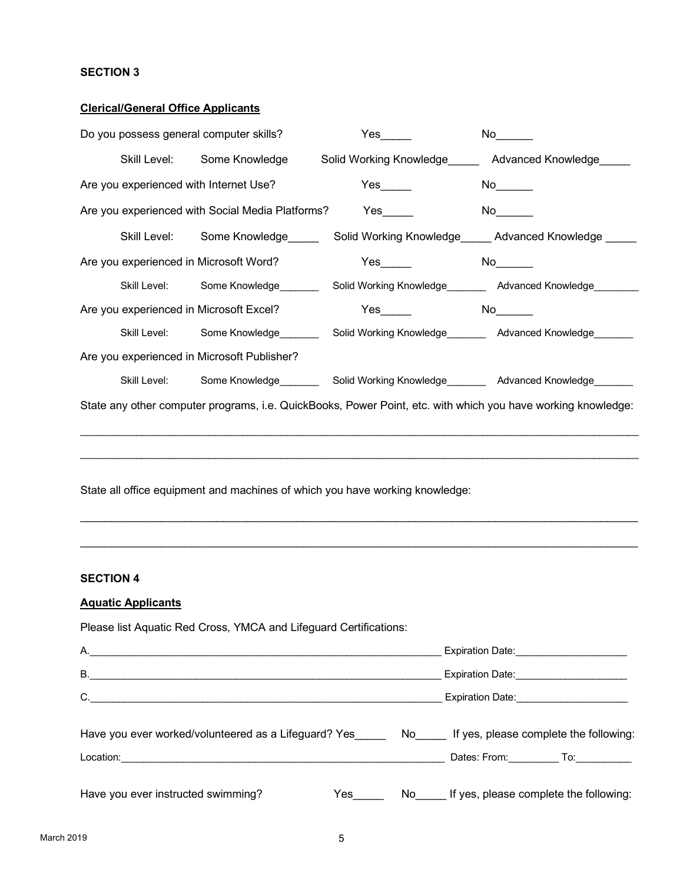### **SECTION 3**

# **Clerical/General Office Applicants**

|                                                                                                              | Do you possess general computer skills?          | Yes                     | No l                                                                                                                                                                                                                           |  |  |
|--------------------------------------------------------------------------------------------------------------|--------------------------------------------------|-------------------------|--------------------------------------------------------------------------------------------------------------------------------------------------------------------------------------------------------------------------------|--|--|
| Skill Level:                                                                                                 | Some Knowledge                                   | Solid Working Knowledge | Advanced Knowledge                                                                                                                                                                                                             |  |  |
|                                                                                                              | Are you experienced with Internet Use?           |                         |                                                                                                                                                                                                                                |  |  |
|                                                                                                              | Are you experienced with Social Media Platforms? |                         | No                                                                                                                                                                                                                             |  |  |
|                                                                                                              |                                                  |                         | Skill Level: Some Knowledge _____ Solid Working Knowledge ____ Advanced Knowledge                                                                                                                                              |  |  |
|                                                                                                              | Are you experienced in Microsoft Word?           |                         | No                                                                                                                                                                                                                             |  |  |
|                                                                                                              | Skill Level: Some Knowledge                      |                         | Solid Working Knowledge <b>Advanced Knowledge</b>                                                                                                                                                                              |  |  |
|                                                                                                              | Are you experienced in Microsoft Excel?          |                         | No control to the set of the set of the set of the set of the set of the set of the set of the set of the set of the set of the set of the set of the set of the set of the set of the set of the set of the set of the set of |  |  |
|                                                                                                              |                                                  |                         | Skill Level: Some Knowledge ________ Solid Working Knowledge ________ Advanced Knowledge                                                                                                                                       |  |  |
|                                                                                                              | Are you experienced in Microsoft Publisher?      |                         |                                                                                                                                                                                                                                |  |  |
|                                                                                                              |                                                  |                         | Skill Level: Some Knowledge ________ Solid Working Knowledge ________ Advanced Knowledge                                                                                                                                       |  |  |
| State any other computer programs, i.e. QuickBooks, Power Point, etc. with which you have working knowledge: |                                                  |                         |                                                                                                                                                                                                                                |  |  |

 $\mathcal{L}_\mathcal{L} = \{ \mathcal{L}_\mathcal{L} = \{ \mathcal{L}_\mathcal{L} = \{ \mathcal{L}_\mathcal{L} = \{ \mathcal{L}_\mathcal{L} = \{ \mathcal{L}_\mathcal{L} = \{ \mathcal{L}_\mathcal{L} = \{ \mathcal{L}_\mathcal{L} = \{ \mathcal{L}_\mathcal{L} = \{ \mathcal{L}_\mathcal{L} = \{ \mathcal{L}_\mathcal{L} = \{ \mathcal{L}_\mathcal{L} = \{ \mathcal{L}_\mathcal{L} = \{ \mathcal{L}_\mathcal{L} = \{ \mathcal{L}_\mathcal{$ 

 $\mathcal{L}_\text{max}$  , and the contribution of the contribution of the contribution of the contribution of the contribution of the contribution of the contribution of the contribution of the contribution of the contribution of t

\_\_\_\_\_\_\_\_\_\_\_\_\_\_\_\_\_\_\_\_\_\_\_\_\_\_\_\_\_\_\_\_\_\_\_\_\_\_\_\_\_\_\_\_\_\_\_\_\_\_\_\_\_\_\_\_\_\_\_\_\_\_\_\_\_\_\_\_\_\_\_\_\_\_\_\_\_\_\_\_\_\_\_\_\_\_\_\_\_\_

State all office equipment and machines of which you have working knowledge:

### **SECTION 4**

### **Aquatic Applicants**

Please list Aquatic Red Cross, YMCA and Lifeguard Certifications:

| A.                                                   |  |                                                                                                                                                                                                                                | Expiration Date: 2000                                                                                                                                                                                                          |  |  |  |
|------------------------------------------------------|--|--------------------------------------------------------------------------------------------------------------------------------------------------------------------------------------------------------------------------------|--------------------------------------------------------------------------------------------------------------------------------------------------------------------------------------------------------------------------------|--|--|--|
| <b>B.</b>                                            |  |                                                                                                                                                                                                                                | Expiration Date: Expiration Date:                                                                                                                                                                                              |  |  |  |
| C.                                                   |  |                                                                                                                                                                                                                                | Expiration Date: Expiration of the state of the state of the state of the state of the state of the state of the state of the state of the state of the state of the state of the state of the state of the state of the state |  |  |  |
| Have you ever worked/volunteered as a Lifeguard? Yes |  |                                                                                                                                                                                                                                | No If yes, please complete the following:                                                                                                                                                                                      |  |  |  |
|                                                      |  |                                                                                                                                                                                                                                | Dates: From: To:                                                                                                                                                                                                               |  |  |  |
| Have you ever instructed swimming?                   |  | No control to the North State of the North State of the North State of the North State of the North State of the North State of the North State of the North State of the North State of the North State of the North State of | If yes, please complete the following:                                                                                                                                                                                         |  |  |  |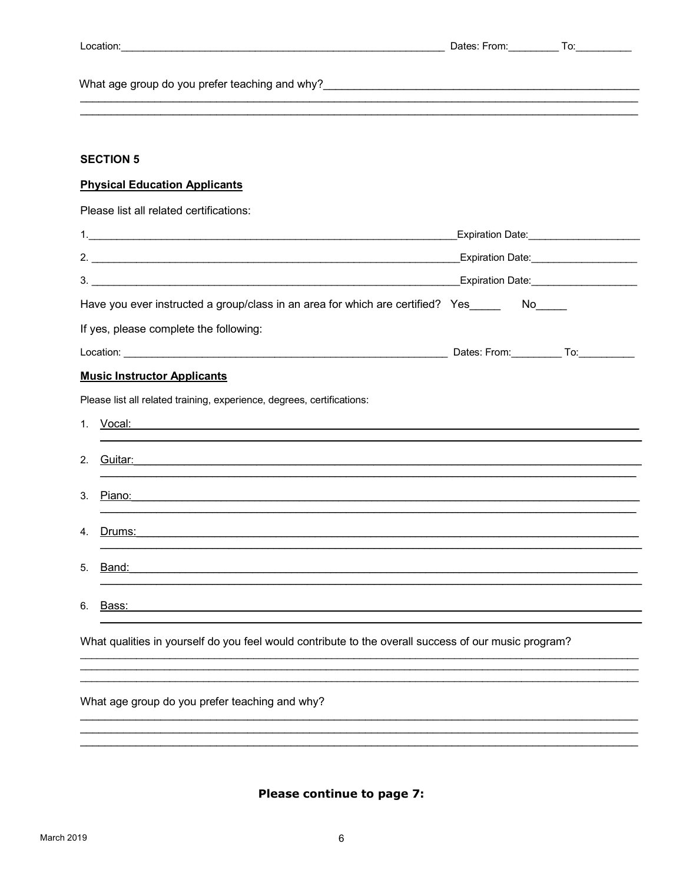<u> 1989 - Johann John Stone, mars eta bainar eta industrial eta erromana eta erromana eta erromana eta erromana</u>

### **SECTION 5**

#### **Physical Education Applicants**

Please list all related certifications:

|    |                                                                                                                                                                                                                                      | Expiration Date: _________________________ |  |  |
|----|--------------------------------------------------------------------------------------------------------------------------------------------------------------------------------------------------------------------------------------|--------------------------------------------|--|--|
|    | 2. $\overline{\phantom{a}}$                                                                                                                                                                                                          | Expiration Date: _____________________     |  |  |
|    |                                                                                                                                                                                                                                      | Expiration Date: ______________________    |  |  |
|    | Have you ever instructed a group/class in an area for which are certified? Yes______ No_____                                                                                                                                         |                                            |  |  |
|    | If yes, please complete the following:                                                                                                                                                                                               |                                            |  |  |
|    |                                                                                                                                                                                                                                      |                                            |  |  |
|    | <b>Music Instructor Applicants</b>                                                                                                                                                                                                   |                                            |  |  |
|    | Please list all related training, experience, degrees, certifications:                                                                                                                                                               |                                            |  |  |
|    |                                                                                                                                                                                                                                      |                                            |  |  |
| 2. | Guitar: Content of the Content of the Content of the Content of the Content of the Content of the Content of the Content of the Content of the Content of the Content of the Content of the Content of the Content of the Cont       |                                            |  |  |
| 3. | Piano: Piano de Antonio de Antonio de Antonio de Antonio de Antonio de Antonio de Antonio de Antonio de Antonio<br>Estado de Antonio de Antonio de Antonio de Antonio de Antonio de Antonio de Antonio de Antonio de Antonio de A    |                                            |  |  |
| 4. | Drums: <u>contract and contract and contract and contract and contract and contract and contract and contract and contract and contract and contract and contract and contract and contract and contract and contract and contra</u> |                                            |  |  |
| 5. | Band: Band and a service of the service of the service of the service of the service of the service of the service of the service of the service of the service of the service of the service of the service of the service of       |                                            |  |  |
| 6. | <u>Bass: Дани и поставка в село со село со село со село со село со село со село со село со село со село со село с</u>                                                                                                                |                                            |  |  |
|    | What qualities in yourself do you feel would contribute to the overall success of our music program?                                                                                                                                 |                                            |  |  |
|    | What age group do you prefer teaching and why?                                                                                                                                                                                       |                                            |  |  |

### Please continue to page 7: